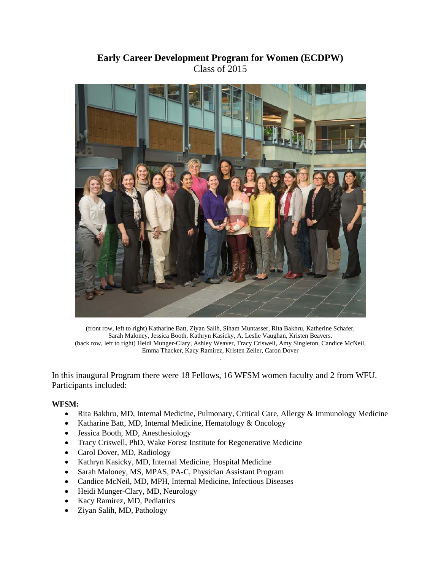## **Early Career Development Program for Women (ECDPW)**  Class of 2015



(front row, left to right) Katharine Batt, Ziyan Salih, Siham Muntasser, Rita Bakhru, Katherine Schafer, Sarah Maloney, Jessica Booth, Kathryn Kasicky, A. Leslie Vaughan, Kristen Beavers. (back row, left to right) Heidi Munger-Clary, Ashley Weaver, Tracy Criswell, Amy Singleton, Candice McNeil, Emma Thacker, Kacy Ramirez, Kristen Zeller, Caron Dover .

In this inaugural Program there were 18 Fellows, 16 WFSM women faculty and 2 from WFU. Participants included:

## **WFSM:**

- Rita Bakhru, MD, Internal Medicine, Pulmonary, Critical Care, Allergy & Immunology Medicine
- Katharine Batt, MD, Internal Medicine, Hematology & Oncology
- Jessica Booth, MD, Anesthesiology
- Tracy Criswell, PhD, Wake Forest Institute for Regenerative Medicine
- Carol Dover, MD, Radiology
- Kathryn Kasicky, MD, Internal Medicine, Hospital Medicine
- Sarah Maloney, MS, MPAS, PA-C, Physician Assistant Program
- Candice McNeil, MD, MPH, Internal Medicine, Infectious Diseases
- Heidi Munger-Clary, MD, Neurology
- Kacy Ramirez, MD, Pediatrics
- Ziyan Salih, MD, Pathology